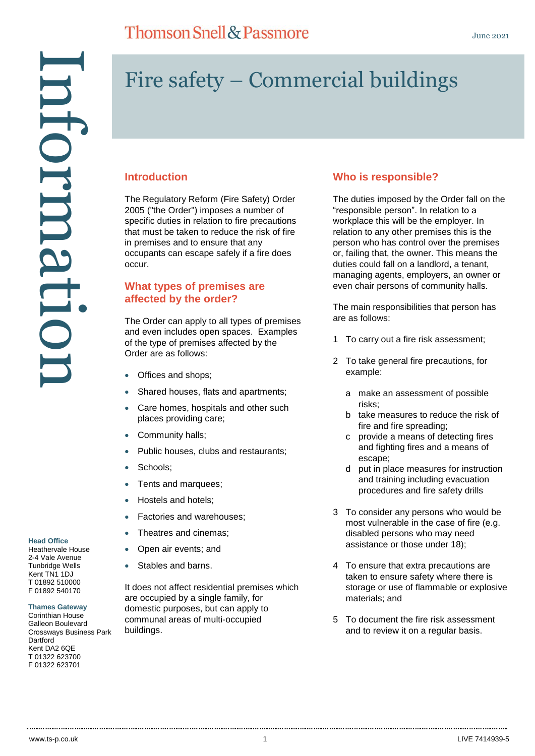## **Thomson Snell & Passmore**

# Fire safety – Commercial buildings

#### **Introduction**

The Regulatory Reform (Fire Safety) Order 2005 ("the Order") imposes a number of specific duties in relation to fire precautions that must be taken to reduce the risk of fire in premises and to ensure that any occupants can escape safely if a fire does occur.

#### **What types of premises are affected by the order?**

The Order can apply to all types of premises and even includes open spaces. Examples of the type of premises affected by the Order are as follows:

- Offices and shops;
- Shared houses, flats and apartments;
- Care homes, hospitals and other such places providing care;
- Community halls;
- Public houses, clubs and restaurants;
- Schools;
- Tents and marquees;
- Hostels and hotels;
- Factories and warehouses;
- Theatres and cinemas;
- Open air events; and
- Stables and barns.

It does not affect residential premises which are occupied by a single family, for domestic purposes, but can apply to communal areas of multi-occupied buildings.

#### **Who is responsible?**

The duties imposed by the Order fall on the "responsible person". In relation to a workplace this will be the employer. In relation to any other premises this is the person who has control over the premises or, failing that, the owner. This means the duties could fall on a landlord, a tenant, managing agents, employers, an owner or even chair persons of community halls.

The main responsibilities that person has are as follows:

- 1 To carry out a fire risk assessment;
- 2 To take general fire precautions, for example:
	- a make an assessment of possible risks;
	- b take measures to reduce the risk of fire and fire spreading;
	- c provide a means of detecting fires and fighting fires and a means of escape;
	- d put in place measures for instruction and training including evacuation procedures and fire safety drills
- 3 To consider any persons who would be most vulnerable in the case of fire (e.g. disabled persons who may need assistance or those under 18);
- 4 To ensure that extra precautions are taken to ensure safety where there is storage or use of flammable or explosive materials; and
- 5 To document the fire risk assessment and to review it on a regular basis.

2-4 Vale Avenue Tunbridge Wells Kent TN1 1DJ T 01892 510000 F 01892 540170

**Head Office** Heathervale House

**Thames Gateway**

Corinthian House Galleon Boulevard Crossways Business Park **Dartford** Kent DA2 6QE T 01322 623700